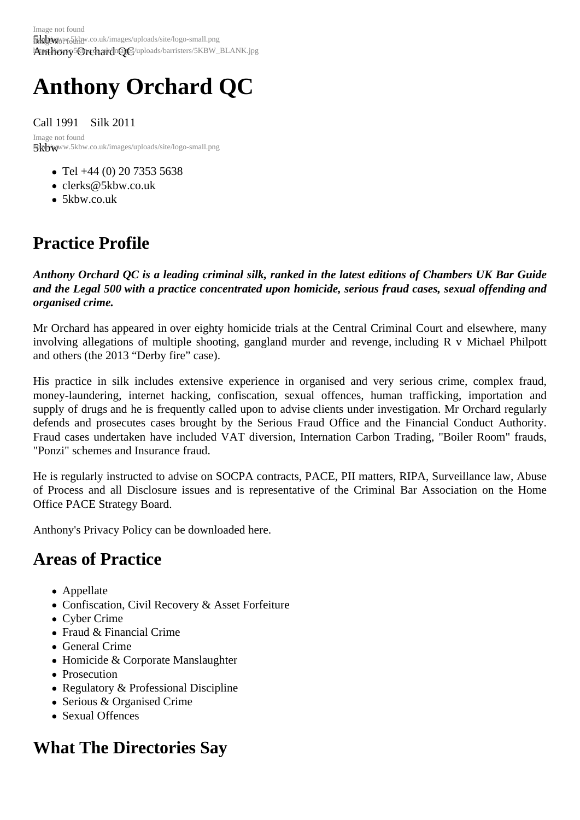# Anthony Orchard QC

Call 1991 Silk 2011

5kbwww.5kbw.co.uk/images/uploads/site/logo-small.png Image not found

- Tel +44 (0) 20 7353 5638
- clerks@5kbw.co.uk
- 5kbw.co.uk

### Pra[ctice Pr](http://www.5kbw.co.uk)[ofile](mailto:clerks@5kbw.co.uk)

Anthony Orchard QC is a leading criminal silk, ranked in the latest editions of Chambers UK Bar Guide and the Legal 500 with a practice concentrated upon homicide, serious fraud cases, sexual offending and organised crime.

Mr Orchard has appeared in over eighty homicide trials at the Central Criminal Court and elsewhere, many involving allegations of multiple shooting, gangland murder and revenge, including R v Michael Philpott and others (the 2013 "Derby fire" case).

His practice in silk includes extensive experience in organised and very serious crime, complex fraud, money-laundering, internet hacking, confiscation, sexual offences, human trafficking, importation and supply of drugs and he is frequently called upon to advise clients under investigation. Mr Orchard regularly defends and prosecutes cases brought by the Serious Fraud Office and the Financial Conduct Authority. Fraud cases undertaken have included VAT diversion, Internation Carbon Trading, "Boiler Room" frauds, "Ponzi" schemes and Insurance fraud.

He is regularly instructed to advise on SOCPA contracts, PACE, PII matters, RIPA, Surveillance law, Abuse of Process and all Disclosure issues and is representative of the Criminal Bar Association on the Home Office PACE Strategy Board.

Anthony's Privacy Policy can be downloaded e

### Areas of Practice

- Appellate
- Confiscation, Civil Recovery & Asset Forfeiture
- Cyber Crime
- Fraud & Financial Crime
- General Crime
- Homicide & Corporate Manslaughter
- Prosecution
- Regulatory & Professional Discipline
- Serious & Organised Crime
- Sexual Offences

### What The Directories Say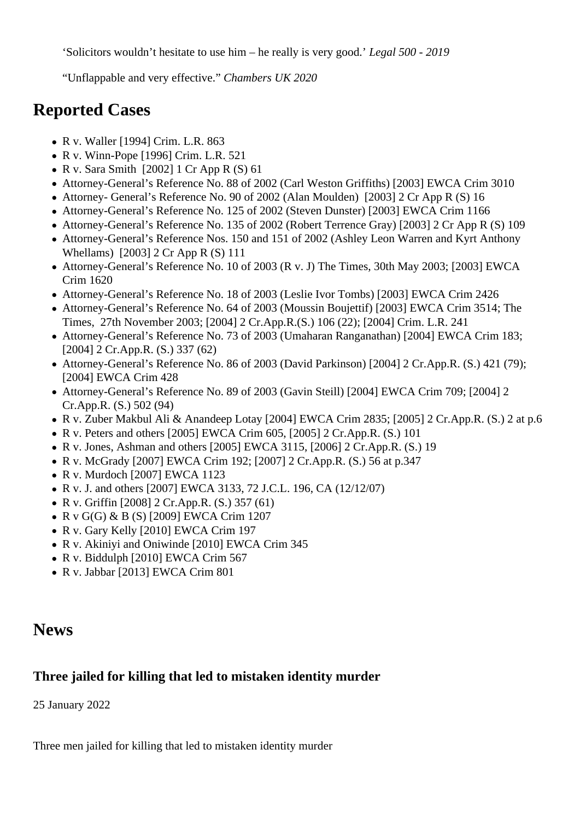'Solicitors wouldn't hesitate to use him – he really is very good.' *Legal 500 - 2019*

"Unflappable and very effective." *Chambers UK 2020*

#### **Reported Cases**

- R v. Waller [1994] Crim. L.R. 863
- R v. Winn-Pope [1996] Crim. L.R. 521
- R v. Sara Smith  $[2002]$  1 Cr App R  $(S)$  61
- Attorney-General's Reference No. 88 of 2002 (Carl Weston Griffiths) [2003] EWCA Crim 3010
- Attorney- General's Reference No. 90 of 2002 (Alan Moulden) [2003] 2 Cr App R (S) 16
- Attorney-General's Reference No. 125 of 2002 (Steven Dunster) [2003] EWCA Crim 1166
- Attorney-General's Reference No. 135 of 2002 (Robert Terrence Gray) [2003] 2 Cr App R (S) 109
- Attorney-General's Reference Nos. 150 and 151 of 2002 (Ashley Leon Warren and Kyrt Anthony Whellams) [2003] 2 Cr App R (S) 111
- Attorney-General's Reference No. 10 of 2003 (R v. J) The Times, 30th May 2003; [2003] EWCA Crim 1620
- Attorney-General's Reference No. 18 of 2003 (Leslie Ivor Tombs) [2003] EWCA Crim 2426
- Attorney-General's Reference No. 64 of 2003 (Moussin Boujettif) [2003] EWCA Crim 3514; The Times, 27th November 2003; [2004] 2 Cr.App.R.(S.) 106 (22); [2004] Crim. L.R. 241
- Attorney-General's Reference No. 73 of 2003 (Umaharan Ranganathan) [2004] EWCA Crim 183; [2004] 2 Cr.App.R. (S.) 337 (62)
- Attorney-General's Reference No. 86 of 2003 (David Parkinson) [2004] 2 Cr.App.R. (S.) 421 (79); [2004] EWCA Crim 428
- Attorney-General's Reference No. 89 of 2003 (Gavin Steill) [2004] EWCA Crim 709; [2004] 2 Cr.App.R. (S.) 502 (94)
- R v. Zuber Makbul Ali & Anandeep Lotay [2004] EWCA Crim 2835; [2005] 2 Cr.App.R. (S.) 2 at p.6
- R v. Peters and others [2005] EWCA Crim 605, [2005] 2 Cr.App.R. (S.) 101
- R v. Jones, Ashman and others [2005] EWCA 3115, [2006] 2 Cr.App.R.  $(S. 19)$
- R v. McGrady [2007] EWCA Crim 192; [2007] 2 Cr.App.R. (S.) 56 at p.347
- $\bullet$  R v. Murdoch [2007] EWCA 1123
- R v. J. and others [2007] EWCA 3133, 72 J.C.L. 196, CA (12/12/07)
- R v. Griffin [2008] 2 Cr.App.R. (S.) 357 (61)
- R v G(G) & B (S) [2009] EWCA Crim 1207
- R v. Gary Kelly [2010] EWCA Crim 197
- R v. Akiniyi and Oniwinde [2010] EWCA Crim 345
- R v. Biddulph [2010] EWCA Crim 567
- R v. Jabbar [2013] EWCA Crim 801

#### **News**

#### **Three jailed for killing that led to mistaken identity murder**

25 January 2022

Three men jailed for killing that led to mistaken identity murder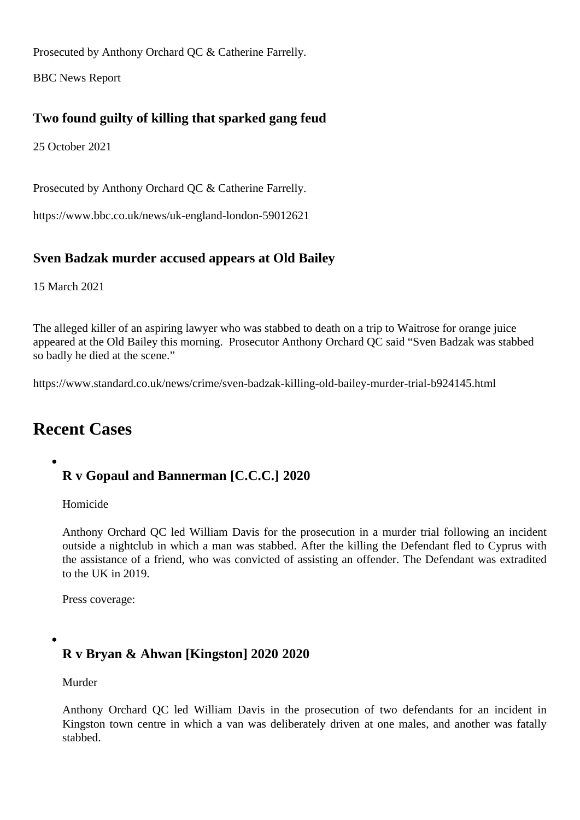Prosecuted by Anthony Orchard QC Catherine Farrelly.

BBC News Report

[Two found guil](https://www.bbc.co.uk/news/uk-england-london-60088246)ty of killing that sparked gang feud

25 October 2021

Prosecuted by Anthony Orchard QC & Catherine Farrelly.

https://www.bbc.co.uk/news/uk-england-london-59012621

[Sven Badzak murder accused appears at Old](https://www.bbc.co.uk/news/uk-england-london-59012621) Bailey

15 March 2021

The alleged killer of an aspiring lawyer who was stabbed to death on a trip to Waitrose for orange juice appeared at the Old Bailey this morning. Prosecutor Anthony Orchard QC said "Sven Badzak was stabbed so badly he died at the scene."

https://www.standard.co.uk/news/crime/sven-badzak-killing-old-bailey-murder-trial-b924145.html

### [Recent Cases](https://www.standard.co.uk/news/crime/sven-badzak-killing-old-bailey-murder-trial-b924145.html)

R v Gopaul and Bannerman [C.C.C.] 2020

Homicide

Anthony Orchard Q Ged William Davis for the prosecution in a murder trial following an incident outside a nightclub in which a man was stabbed. After the killing the Defendant fled to Cyprus with the assistance of a friend, who was convicted of assisting an offender. The Defendant was extradited [to the UK in 2019.](/barristers/profile/anthony-orchard-qc)

Press coverage:

[R v Bryan &](https://www.dailymail.co.uk/news/article-8990217/Killer-22-stabbed-peacemaker-death-fight-outside-London-nightclub-jailed-22-years.html) Ahwan [Kingston] 2020 2020

Murder

Anthony Orchard QC ed William Davis in the prosecution of two defendants for an incident in Kingston town centre in which a van was deliberately driven at one males, and another was fatally stabbed.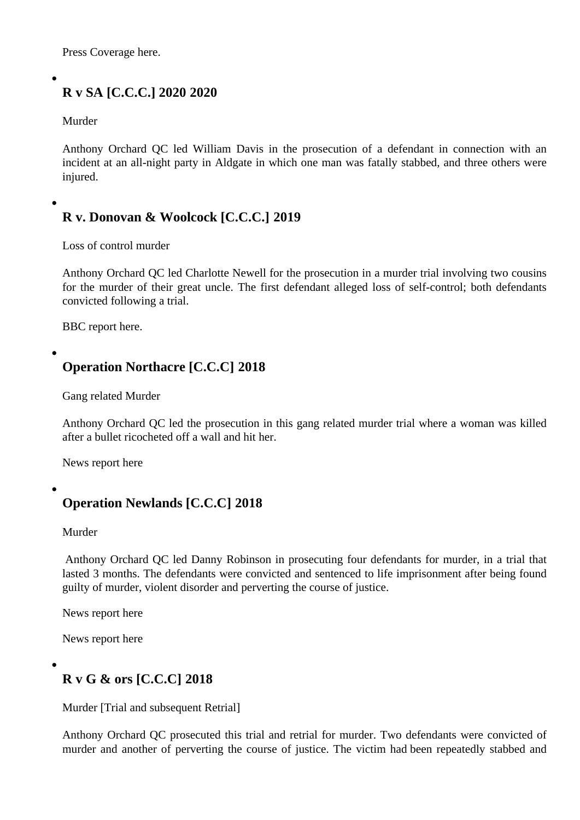Press Coverage here.

## [R v SA \[C.C.C.\]](https://www.mirror.co.uk/news/uk-news/mum-teen-knifed-red-alert-22928303) 20202020

Murder

Anthony Orchard QOed William Davis in the prosecution of a defendant in connection with an incident at an all-night party in Aldgate in which one man was fatally stabbed, and three others were injured.

R v. Donovan & Woolcock [C.C.C.] 2019

Loss of control murder

Anthony Orchard QCed Charlotte Newell for the prosecution in a murder trial involving two cousins for the murder of their great uncle. The first defendant alleged loss of self-control; both defendants convicted following a trial.

[BBC report here.](/barristers/profile/anthony-orchard-qc)

[Operation No](https://www.bbc.co.uk/news/uk-england-london-47977741)rthacre [C.C.C] 2018

Gang related Murder

Anthony Orchard Q O ed the prosecution in this gang related murder trial where a woman was killed after a bullet ricocheted off a wall and hit her.

[News report here](/barristers/profile/anthony-orchard-qc)

[Operation Ne](https://www.bbc.co.uk/news/uk-england-london-44241133)wlands [C.C.C] 2018

Murder

Anthony Orchard QCed Danny Robinsonin prosecuting four defendants for murder, in a trial that lasted 3 months. The defendants were convicted and sentenced to life imprisonment after being found guilty of murder, violent disorder and perverting the course of justice.

[News report here](/barristers/profile/anthony-orchard-qc)

News report here

[R v G & ors \[C](http://www.wandsworthguardian.co.uk/news/16130904.Four_teenagers_who_murdered_17-year-old_in_Battersea_jailed_for_combined_85_years/).C.C] 2018

Murder [Trial and subsequent Retrial]

Anthony Orchard Q C prosecuted this trial and retrial for murder. Two defendants were convicted of murder and another of perverting the course of justice. The victim had been repeatedly stabbed and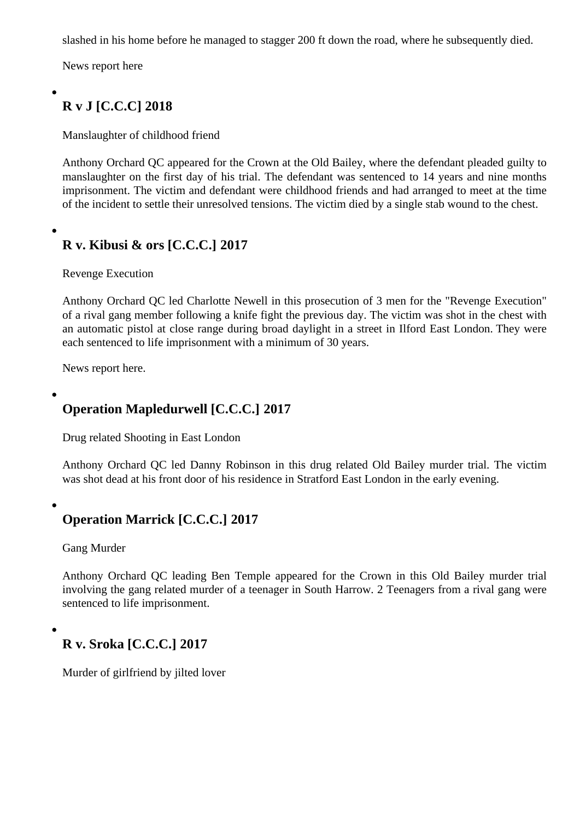News report here

### [R v J \[C.C.C\]](https://www.thesun.co.uk/news/6684765/reveller-was-slashed-to-death-in-his-boxer-shorts-at-drink-and-drugs-party-before-staggering-onto-the-street/) 2018

Manslaughter of childhood friend

Anthony Orchard QC appeared for the Crown at the Old Bailey, where the defendant pleaded guilty to manslaughter on the first day of his trial. The defendant was sentenced to 14 years and nine months imprisonment. The victim and defendant were childhood friends and had arranged to meet at the time [of the incident to set](/barristers/profile/anthony-orchard-qc)tle their unresolved tensions. The victim died by a single stab wound to the chest.

R v. Kibusi & ors [C.C.C.] 2017

Revenge Execution

Anthony Orchard Q Ged Charlotte Newellin this prosecution of 3 men for the "Revenge Execution" of a rival gang member following a knife fight the previous day. The victim was shot in the chest with an automatic pistol at close range during broad daylight in a street in Ilford East London. They were [each sentenced to li](/barristers/profile/anthony-orchard-qc)fe i[mprisonment with](/barristers/profile/charlotte-newell) a minimum of 30 years.

News report here.

[Operation Map](http://www.dailymail.co.uk/news/article-5082091/Drug-dealer-trio-jailed-30-years-shooting.html)ledurwell [C.C.C.] 2017

Drug related Shooting in East London

Anthony Orchard Q Ged Danny Robinsonn this drug related Old Bailey murder trial. The victim was shot dead at his front door of his residence in Stratford East London in the early evening.

[Operation Marrick](/barristers/profile/anthony-orchard-qc) [C[.C.C.\] 2017](/barristers/profile/danny-robinson)

Gang Murder

Anthony Orchard Q Geading Ben Temple appeared for the Crown in this Old Bailey murder trial involving the gang related murder of a teenager in South Harrow. 2 Teenagers from a rival gang were sentenced to life imprisonment.

R v. Sroka [C.C.C.] 2017

Murder of girlfriend by jilted lover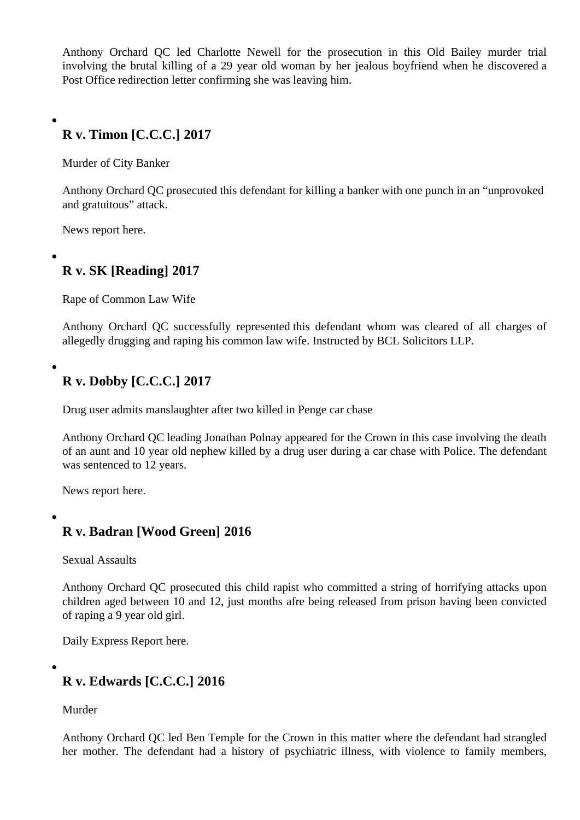Anthony Orchard QCled Charlotte Newelltor the prosecution in this Old Bailey murder trial involving the brutal killing of a 29 year old woman by her jealous boyfriend when he discovered a Post Office redirection letter confirming she was leaving him.

R v. Timon [C.C.C.] 2017

Murder of City Banker

Anthony Orchard QC prosecuted this defendant for killing a banker with one punch in an "unprovoked and gratuitous" attack.

News report here.

[R v. SK \[Read](https://www.theguardian.com/uk-news/2017/feb/24/trevor-timon-jailed-six-years-killing-oliver-dearlove-one-punch-london)ing] 2017

Rape of Common Law Wife

Anthony Orchard QC successfully represented this defendant whom was cleared of all charges of allegedly drugging and raping his common law wife. Instructed by BCL Solicitors LLP.

[R v. Dobby \[C.C.C](http://www.5kbw.co.uk/barristers/profile/anthony-orchard-qc).] 2017

Drug user admits manslaughter after two killed in Penge car chase

Anthony Orchard QC eading Jonathan Polnay appeared for the Crown in this case involving the death of an aunt and 10 year old nephew killed by a drug user during a car chase with Police. The defendant was sentenced to 12 years.

[News report here.](http://www.5kbw.co.uk/barristers/profile/anthony-orchard-qc)

[R v. Badran \[W](https://www.theguardian.com/uk-news/2017/feb/02/drug-user-admits-manslaughter-after-10-year-old-boy-killed-in-car-chase)ood Green] 2016

Sexual Assaults

Anthony Orchard Q C prosecuted this child rapist who committed a string of horrifying attacks upon children aged between 10 and 12, just months afre being released from prison having been convicted of raping a 9 year old girl.

[Daily Express Repor](/barristers/profile/anthony-orchard-qc)t here.

[R v. Edwards \[C.C.C.](http://www.express.co.uk/news/uk/693171/Man-accused-child-sex-attacks-North-London-Wood-Green-Court-trial)] 2016

Murder

Anthony Orchard QC ed Ben Temple for the Crown in this matter where the defendant had strangled her mother. The defendant had a history of psychiatric illness, with violence to family members,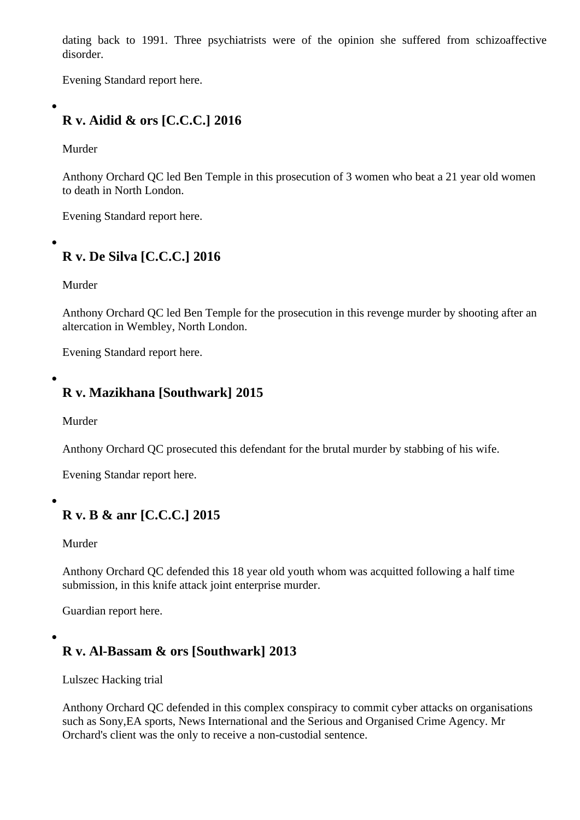disorder.

Evening Standard report here.

[R v. Aidid & ors \[C.C.C.](http://www.standard.co.uk/news/crime/daughter-appears-in-court-accused-of-mothers-murder-in-south-london-a3187161.html)] 2016

Murder

Anthony Orchard QC led Ben Templen this prosecution of 3 women who beat a 21 year old women to death in North London.

[Evening Standard re](/barristers/profile/anthony-orchard-qc)po[rt here.](/barristers/profile/benjamin-temple) 

[R v. De Silva \[C.C.C.\] 20](http://www.standard.co.uk/news/crime/we-beat-her-pretty-badly-two-women-21-battered-woman-to-death-after-row-in-north-london-a3221531.html)16

Murder

Anthony Orchard QC ben Temple for the prosecution in this revenge murder by shooting after an altercation in Wembley, North London.

[Evening Standard re](/barristers/profile/anthony-orchard-qc)po[rt here.](/barristers/profile/benjamin-temple)

[R v. Mazikhana \[Southw](http://www.standard.co.uk/news/crime/man-who-went-on-the-run-after-fatal-shooting-jailed-for-life-a3177531.html)ark] 2015

Murder

Anthony Orchard QC prosecuted this defendant for the brutal murder by stabbing of his wife.

Evening Standar report here.

[R v. B & anr \[C.C.C.\] 2](http://www.standard.co.uk/news/crime/mechanic-stabbed-wife-to-death-at-home-two-weeks-after-he-was-cleared-of-beating-her-up-a2472226.html)015

Murder

Anthony Orchard Q alefended this 18 year old youth whom was acquitted following a half time submission, in this knife attack joint enterprise murder.

[Guardian report her](/barristers/profile/anthony-orchard-qc)e[.](/barristers/profile/anthony-orchard-qc)

[R v. Al-Bassam](https://www.theguardian.com/uk-news/2015/feb/04/judge-condemns-needless-use-knifes-kai-steele-alex-scott) & ors [Southwark] 2013

Lulszec Hacking trial

Anthony Orchard QC defended in this complex conspiracy to commit cyber attacks on organisations such as Sony,EA sports, News International and the Serious and Organised Crime Agency. Mr Orchard's client was the only to receive a non-custodial sentence.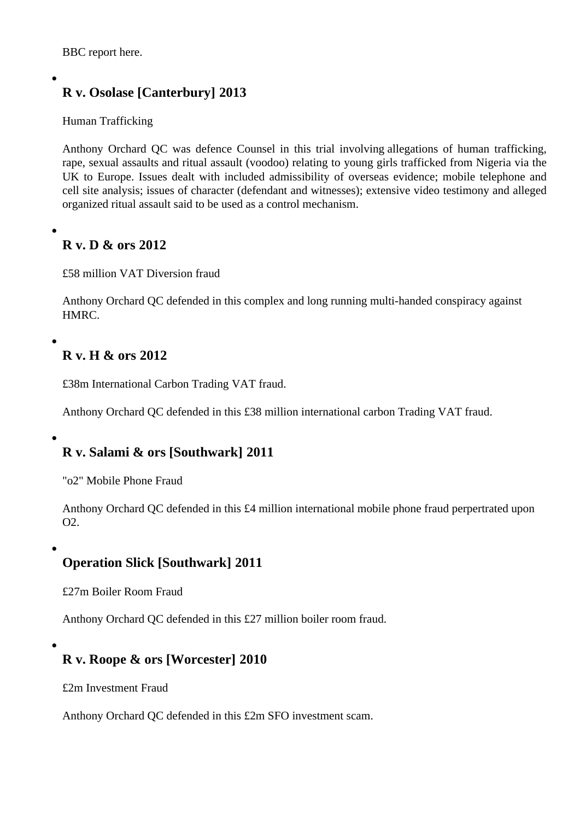BBC report here.

[R v. Osolase](http://www.bbc.co.uk/news/technology-22552753) [Canterbury] 2013

Human Trafficking

Anthony Orchard QGwas defence Counsel in this trial involving allegations of human trafficking, rape, sexual assaults and ritual assault (voodoo) relating to young girls trafficked from Nigeria via the UK to Europe. Issues dealt with included admissibility of overseas evidence; mobile telephone and [cell site analysis; iss](/barristers/profile/anthony-orchard-qc)ues of character (defendant and witnesses); extensive video testimony and allege organized ritual assault said to be used as a control mechanism.

R v. D & ors 2012

£58 million VAT Diversion fraud

Anthony Orchard QC defended in this complex and long running multi-handed conspiracy against HMRC.

[R v. H & ors 2012](/barristers/profile/anthony-orchard-qc)

£38m International Carbon Trading VAT fraud.

Anthony Orchard QC defended in this £38 million international carbon Trading VAT fraud.

[R v. Salami & ors](/barristers/profile/anthony-orchard-qc) [Southwark] 2011

"o2" Mobile Phone Fraud

Anthony Orchard QC defended in this £4 million international mobile phone fraud perpertrated upon O2.

[Operation Slick \[S](/barristers/profile/anthony-orchard-qc)outhwark] 2011

£27m Boiler Room Fraud

Anthony Orchard QC defended in this £27 million boiler room fraud.

[R v. Roope & ors](/barristers/profile/anthony-orchard-qc) [Worcester] 2010

£2m Investment Fraud

Anthony Orchard QC defended in this £2m SFO investment scam.